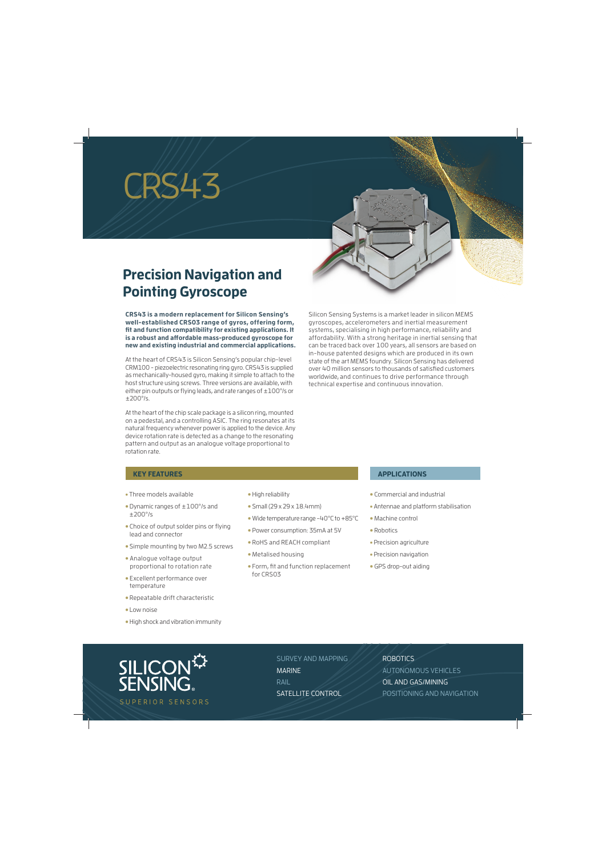# CRS43

### **Precision Navigation and Pointing Gyroscope**

**CRS43 is a modern replacement for Silicon Sensing's well-established CRS03 range of gyros, offering form,**  fit and function compatibility for existing applications. It **is a robust and aff ordable mass-produced gyroscope for new and existing industrial and commercial applications.**

At the heart of CRS43 is Silicon Sensing's popular chip-level CRM100 - piezoelectric resonating ring gyro. CRS43 is supplied as mechanically-housed gyro, making it simple to attach to the host structure using screws. Three versions are available, with either pin outputs or flying leads, and rate ranges of  $\pm 100^{\circ}/s$  or ±200°/s.

At the heart of the chip scale package is a silicon ring, mounted on a pedestal, and a controlling ASIC. The ring resonates at its natural frequency whenever power is applied to the device. Any device rotation rate is detected as a change to the resonating pattern and output as an analogue voltage proportional to rotation rate.

Silicon Sensing Systems is a market leader in silicon MEMS gyroscopes, accelerometers and inertial measurement systems, specialising in high performance, reliability and affordability. With a strong heritage in inertial sensing that can be traced back over 100 years, all sensors are based on in-house patented designs which are produced in its own state of the art MEMS foundry. Silicon Sensing has delivered over 40 million sensors to thousands of satisfied customers worldwide, and continues to drive performance through technical expertise and continuous innovation.

#### **KEY FEATURES**

- Three models available
- Dynamic ranges of ±100°/s and ±200°/s
- Choice of output solder pins or flying lead and connector
- Simple mounting by two M2.5 screws
- Analogue voltage output proportional to rotation rate
- Excellent performance over temperature
- Repeatable drift characteristic
- Low noise
- High shock and vibration immunity
- High reliability
- Small (29 x 29 x 18.4mm)
- Wide temperature range -40°C to +85°C
- Power consumption: 35mA at 5V
- RoHS and REACH compliant
- Metalised housing
- Form, fit and function replacement for CRS03

#### **APPLICATIONS**

- Commercial and industrial
- Antennae and platform stabilisation
- Machine control
- Robotics
- Precision agriculture
- Precision navigation
- GPS drop-out aiding



SURVEY AND MAPPING MARINE RAIL SATELLITE CONTROL

ROBOTICS

AUTONOMOUS VEHICLES OIL AND GAS/MINING POSITIONING AND NAVIGATION